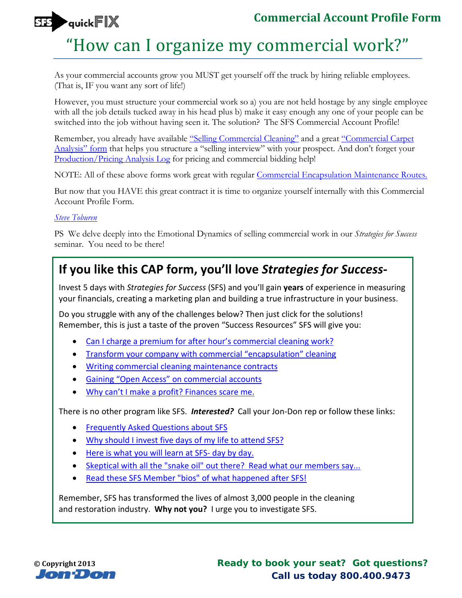

## "How can I organize my commercial work?"

As your commercial accounts grow you MUST get yourself off the truck by hiring reliable employees. (That is, IF you want any sort of life!)

However, you must structure your commercial work so a) you are not held hostage by any single employee with all the job details tucked away in his head plus b) make it easy enough any one of your people can be switched into the job without having seen it. The solution? The SFS Commercial Account Profile!

Remember, you already have available ["Selling Commercial Cleaning"](http://sfs.jondon.com/755/resources/special-reports/sell-commercial?utm_source=rep&utm_medium=pdf&utm_campaign=sr100ap) and a great ["Commercial Carpet](http://sfs.jondon.com/13006/resources/quickfix/how-to-sell-more-cleaning-contracts?utm_source=rep&utm_medium=pdf&utm_campaign=sr100ap)  [Analysis" form](http://sfs.jondon.com/13006/resources/quickfix/how-to-sell-more-cleaning-contracts?utm_source=rep&utm_medium=pdf&utm_campaign=sr100ap) that helps you structure a "selling interview" with your prospect. And don't forget your [Production/Pricing Analysis Log](http://sfs.jondon.com/13266/resources/quickfix/how-much-should-i-charge-in-commercial?utm_source=rep&utm_medium=pdf&utm_campaign=sr100ap) for pricing and commercial bidding help!

NOTE: All of these above forms work great with regular [Commercial Encapsulation Maintenance Routes.](http://sfs.jondon.com/6994/resources/special-reports/start-encapsulation-maintenance-routes-part-1?utm_source=rep&utm_medium=pdf&utm_campaign=sr100ap)

But now that you HAVE this great contract it is time to organize yourself internally with this Commercial Account Profile Form.

## *[Steve Toburen](http://sfs.jondon.com/about/sfs-team/steve?utm_source=rep&utm_medium=pdf&utm_campaign=sr100ap)*

PS We delve deeply into the Emotional Dynamics of selling commercial work in our *Strategies for Success* seminar. You need to be there!

## **If you like this CAP form, you'll love** *Strategies for Success***-**

Invest 5 days with *Strategies for Success* (SFS) and you'll gain **years** of experience in measuring your financials, creating a marketing plan and building a true infrastructure in your business.

Do you struggle with any of the challenges below? Then just click for the solutions! Remember, this is just a taste of the proven "Success Resources" SFS will give you:

- [Can I charge a premium for after hour's](http://sfs.jondon.com/3207/bhc/can-i-charge-a-premium-for-after-hours-work?utm_source=rep&utm_medium=pdf&utm_campaign=sr100ap) commercial cleaning work?
- [Transform your company with commercial "encapsulation" cleaning](http://sfs.jondon.com/5378/blog/encapsulation-commercial-cleaning-has-transformed-my-company?utm_source=rep&utm_medium=pdf&utm_campaign=sr100ap)
- [Writing commercial cleaning maintenance contracts](http://sfs.jondon.com/8459/bhc/getting-beat-up-on-regular-commercial-cleaning-contracts?utm_source=rep&utm_medium=pdf&utm_campaign=sr100ap)
- [Gaining "Open Access" on commercial accounts](http://sfs.jondon.com/12004/resources/quicktips/gaining-open-access-on-commercial-accounts?utm_source=rep&utm_medium=pdf&utm_campaign=sr100ap)
- [Why can't I make a profit? Finances scare me.](http://sfs.jondon.com/1917/resources/paperwork/weekly-financial-flash-report?utm_source=rep&utm_medium=pdf&utm_campaign=sr100ap)

There is no other program like SFS. *Interested?* Call your Jon-Don rep or follow these links:

- [Frequently Asked Questions about SFS](http://sfs.jondon.com/about/faqs?utm_source=rep&utm_medium=pdf&utm_campaign=sr100ap)
- [Why should I invest five days of my life to attend SFS?](http://sfs.jondon.com/about/why-sfs?utm_source=rep&utm_medium=pdf&utm_campaign=sr100ap)
- [Here is what you will learn at SFS-](http://sfs.jondon.com/about/sfs-seminar-curriculum?utm_source=rep&utm_medium=pdf&utm_campaign=sr100ap) day by day.
- [Skeptical with all the "snake oil" out there? Read what our members say...](http://sfs.jondon.com/about/testimonials?utm_source=rep&utm_medium=pdf&utm_campaign=sr100ap)
- [Read these SFS Member "bios" of what happened after SFS!](http://sfs.jondon.com/3794/reviews/success-stories/dir-success-stories?utm_source=rep&utm_medium=pdf&utm_campaign=sr100ap)

Remember, SFS has transformed the lives of almost 3,000 people in the cleaning and restoration industry. **Why not you?** I urge you to investigate SFS.